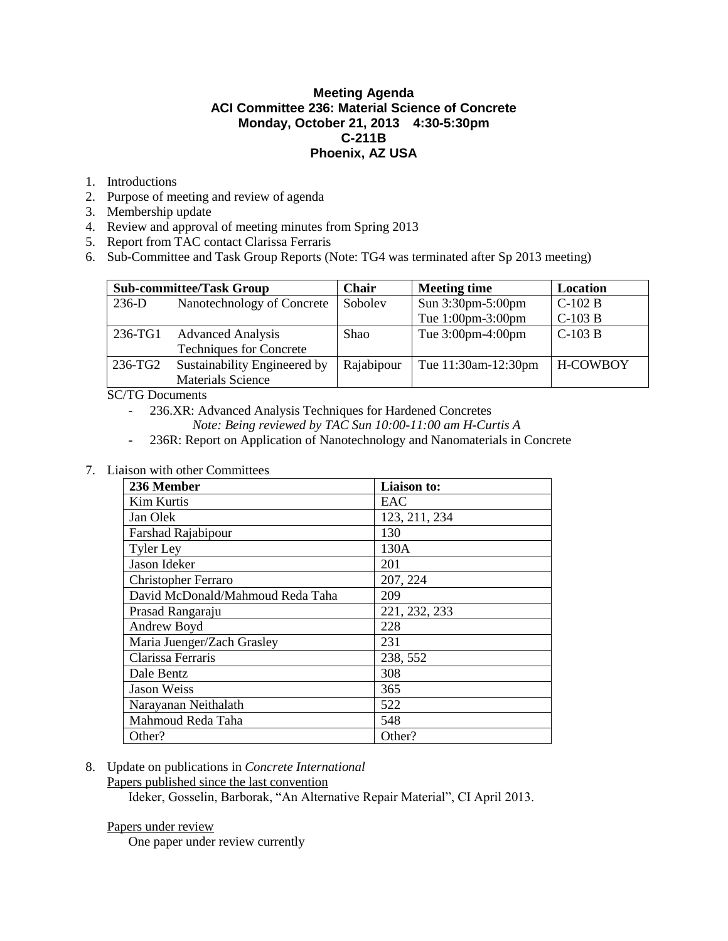## **Meeting Agenda ACI Committee 236: Material Science of Concrete Monday, October 21, 2013 4:30-5:30pm C-211B Phoenix, AZ USA**

- 1. Introductions
- 2. Purpose of meeting and review of agenda
- 3. Membership update
- 4. Review and approval of meeting minutes from Spring 2013
- 5. Report from TAC contact Clarissa Ferraris
- 6. Sub-Committee and Task Group Reports (Note: TG4 was terminated after Sp 2013 meeting)

|         | <b>Sub-committee/Task Group</b> | Chair      | <b>Meeting time</b> | Location |
|---------|---------------------------------|------------|---------------------|----------|
| $236-D$ | Nanotechnology of Concrete      | Sobolev    | Sun 3:30pm-5:00pm   | $C-102B$ |
|         |                                 |            | Tue 1:00pm-3:00pm   | $C-103B$ |
| 236-TG1 | <b>Advanced Analysis</b>        | Shao       | Tue 3:00pm-4:00pm   | $C-103B$ |
|         | <b>Techniques for Concrete</b>  |            |                     |          |
| 236-TG2 | Sustainability Engineered by    | Rajabipour | Tue 11:30am-12:30pm | H-COWBOY |
|         | <b>Materials Science</b>        |            |                     |          |

SC/TG Documents

- 236.XR: Advanced Analysis Techniques for Hardened Concretes
	- *Note: Being reviewed by TAC Sun 10:00-11:00 am H-Curtis A*
- 236R: Report on Application of Nanotechnology and Nanomaterials in Concrete
- 7. Liaison with other Committees

| 236 Member                       | Liaison to:   |  |  |
|----------------------------------|---------------|--|--|
| <b>Kim Kurtis</b>                | EAC           |  |  |
| Jan Olek                         | 123, 211, 234 |  |  |
| <b>Farshad Rajabipour</b>        | 130           |  |  |
| <b>Tyler Ley</b>                 | 130A          |  |  |
| Jason Ideker                     | 201           |  |  |
| <b>Christopher Ferraro</b>       | 207, 224      |  |  |
| David McDonald/Mahmoud Reda Taha | 209           |  |  |
| Prasad Rangaraju                 | 221, 232, 233 |  |  |
| Andrew Boyd                      | 228           |  |  |
| Maria Juenger/Zach Grasley       | 231           |  |  |
| Clarissa Ferraris                | 238, 552      |  |  |
| Dale Bentz                       | 308           |  |  |
| <b>Jason Weiss</b>               | 365           |  |  |
| Narayanan Neithalath             | 522           |  |  |
| Mahmoud Reda Taha                | 548           |  |  |
| Other?                           | Other?        |  |  |

8. Update on publications in *Concrete International*

Papers published since the last convention

Ideker, Gosselin, Barborak, "An Alternative Repair Material", CI April 2013.

#### Papers under review

One paper under review currently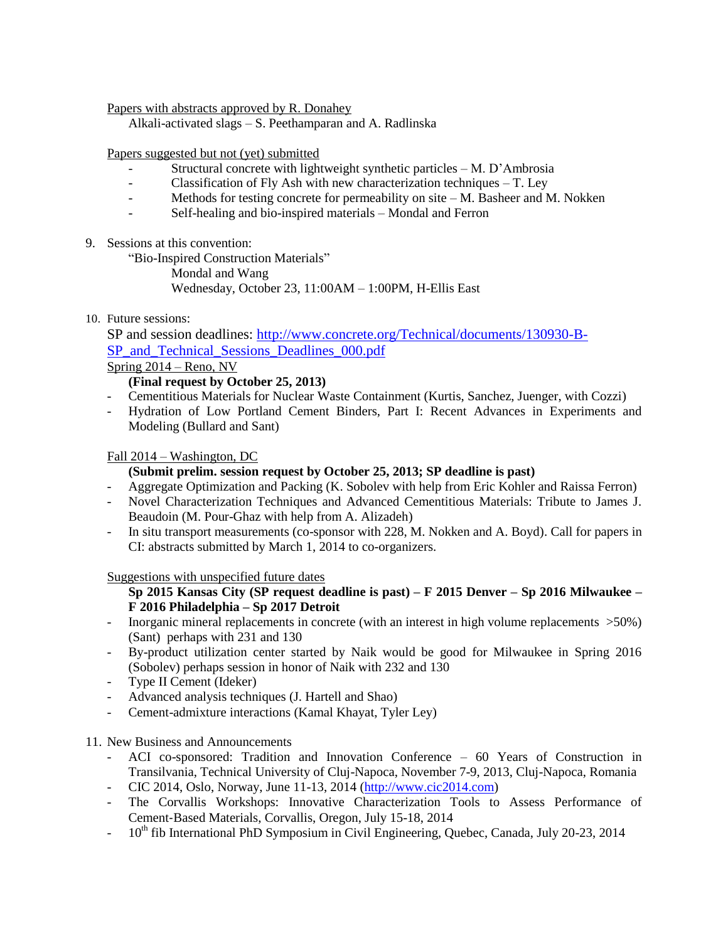Papers with abstracts approved by R. Donahey

Alkali-activated slags – S. Peethamparan and A. Radlinska

Papers suggested but not (yet) submitted

- Structural concrete with lightweight synthetic particles  $M$ . D'Ambrosia
- Classification of Fly Ash with new characterization techniques T. Ley
- Methods for testing concrete for permeability on site M. Basheer and M. Nokken
- Self-healing and bio-inspired materials Mondal and Ferron
- 9. Sessions at this convention:

"Bio-Inspired Construction Materials"

Mondal and Wang

Wednesday, October 23, 11:00AM – 1:00PM, H-Ellis East

10. Future sessions:

SP and session deadlines: [http://www.concrete.org/Technical/documents/130930-B-](http://www.concrete.org/Technical/documents/130930-B-SP_and_Technical_Sessions_Deadlines_000.pdf)SP and Technical Sessions Deadlines 000.pdf

Spring 2014 – Reno, NV

# **(Final request by October 25, 2013)**

- Cementitious Materials for Nuclear Waste Containment (Kurtis, Sanchez, Juenger, with Cozzi)
- Hydration of Low Portland Cement Binders, Part I: Recent Advances in Experiments and Modeling (Bullard and Sant)

## Fall 2014 – Washington, DC

# **(Submit prelim. session request by October 25, 2013; SP deadline is past)**

- Aggregate Optimization and Packing (K. Sobolev with help from Eric Kohler and Raissa Ferron)
- Novel Characterization Techniques and Advanced Cementitious Materials: Tribute to James J. Beaudoin (M. Pour-Ghaz with help from A. Alizadeh)
- In situ transport measurements (co-sponsor with 228, M. Nokken and A. Boyd). Call for papers in CI: abstracts submitted by March 1, 2014 to co-organizers.

Suggestions with unspecified future dates

## **Sp 2015 Kansas City (SP request deadline is past) – F 2015 Denver – Sp 2016 Milwaukee – F 2016 Philadelphia – Sp 2017 Detroit**

- Inorganic mineral replacements in concrete (with an interest in high volume replacements >50%) (Sant) perhaps with 231 and 130
- By-product utilization center started by Naik would be good for Milwaukee in Spring 2016 (Sobolev) perhaps session in honor of Naik with 232 and 130
- Type II Cement (Ideker)
- Advanced analysis techniques (J. Hartell and Shao)
- Cement-admixture interactions (Kamal Khayat, Tyler Ley)
- 11. New Business and Announcements
	- ACI co-sponsored: Tradition and Innovation Conference 60 Years of Construction in Transilvania, Technical University of Cluj-Napoca, November 7-9, 2013, Cluj-Napoca, Romania
	- CIC 2014, Oslo, Norway, June 11-13, 2014 [\(http://www.cic2014.com\)](http://www.cic2014.com/)
	- The Corvallis Workshops: Innovative Characterization Tools to Assess Performance of Cement‐Based Materials, Corvallis, Oregon, July 15-18, 2014
	- 10<sup>th</sup> fib International PhD Symposium in Civil Engineering, Quebec, Canada, July 20-23, 2014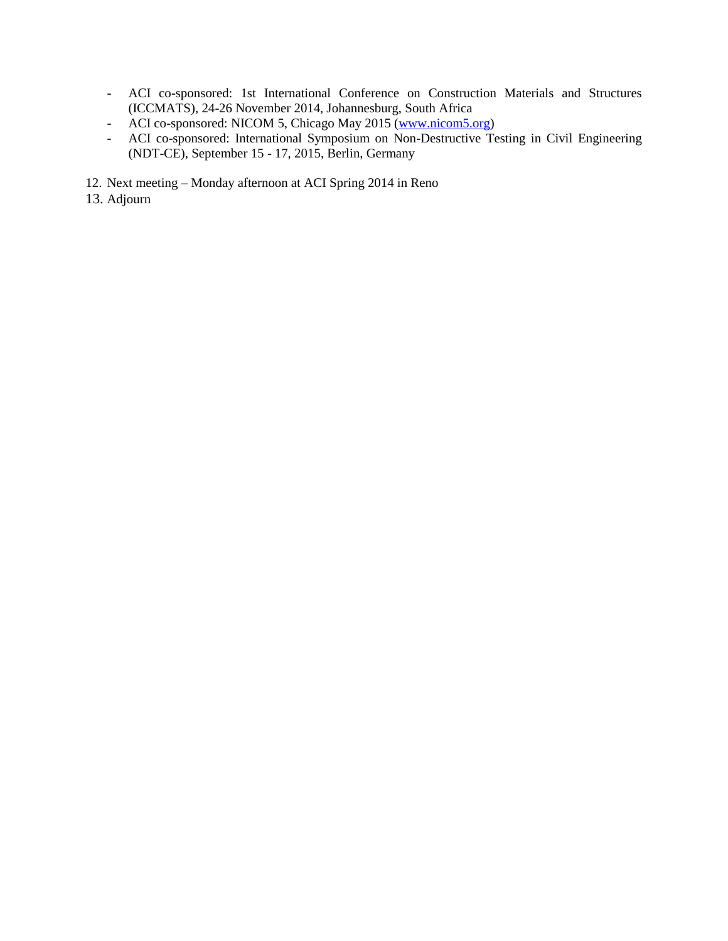- ACI co-sponsored: 1st International Conference on Construction Materials and Structures (ICCMATS), 24-26 November 2014, Johannesburg, South Africa
- ACI co-sponsored: NICOM 5, Chicago May 2015 [\(www.nicom5.org\)](../../../../../AppData/Local/Microsoft/Windows/Temporary%20Internet%20Files/Content.Outlook/AFHAG01V/www.nicom5.org)
- ACI co-sponsored: International Symposium on Non-Destructive Testing in Civil Engineering (NDT-CE), September 15 - 17, 2015, Berlin, Germany
- 12. Next meeting Monday afternoon at ACI Spring 2014 in Reno
- 13. Adjourn